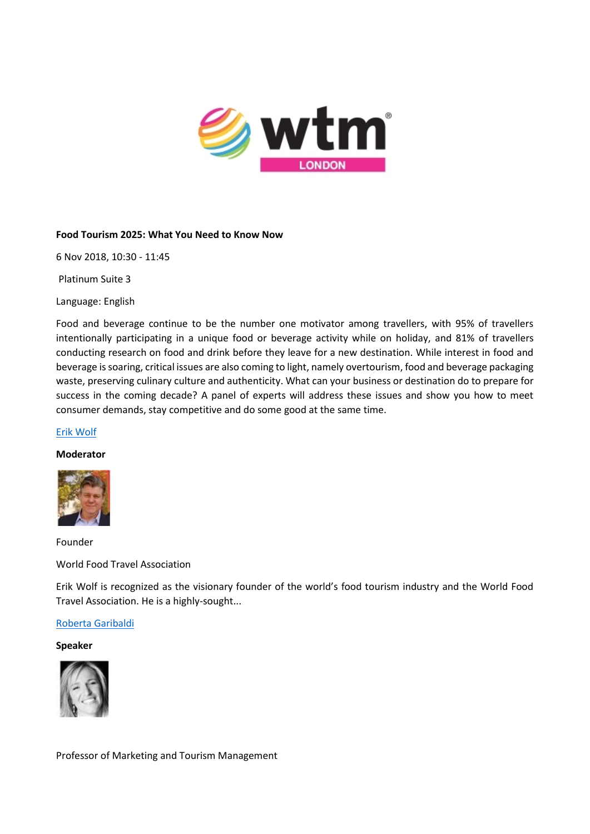

#### **Food Tourism 2025: What You Need to Know Now**

6 Nov 2018, 10:30 - 11:45

Platinum Suite 3

Language: English

Food and beverage continue to be the number one motivator among travellers, with 95% of travellers intentionally participating in a unique food or beverage activity while on holiday, and 81% of travellers conducting research on food and drink before they leave for a new destination. While interest in food and beverage is soaring, critical issues are also coming to light, namely overtourism, food and beverage packaging waste, preserving culinary culture and authenticity. What can your business or destination do to prepare for success in the coming decade? A panel of experts will address these issues and show you how to meet consumer demands, stay competitive and do some good at the same time.

#### [Erik Wolf](https://london.wtm.com/en/Contributors/6782657/Erik-Wolf)

# **Moderator**



Founder

World Food Travel Association

Erik Wolf is recognized as the visionary founder of the world's food tourism industry and the World Food Travel Association. He is a highly-sought...

#### [Roberta Garibaldi](https://london.wtm.com/en/Contributors/6847844/Roberta-Garibaldi)

#### **Speaker**



Professor of Marketing and Tourism Management